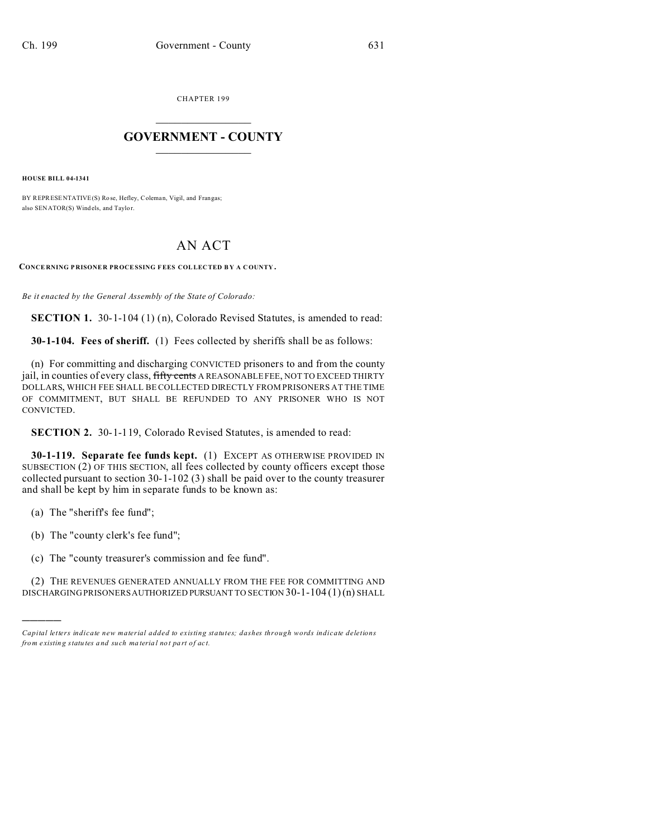CHAPTER 199  $\overline{\phantom{a}}$  , where  $\overline{\phantom{a}}$ 

## **GOVERNMENT - COUNTY**  $\_$

**HOUSE BILL 04-1341**

BY REPRESENTATIVE(S) Ro se, Hefley, Coleman, Vigil, and Frangas; also SENATOR(S) Wind els, and Taylor.

## AN ACT

**CONCE RNING P RISONE R PROCESSING F EES COLLECTED B Y A COUNTY .**

*Be it enacted by the General Assembly of the State of Colorado:*

**SECTION 1.** 30-1-104 (1) (n), Colorado Revised Statutes, is amended to read:

**30-1-104. Fees of sheriff.** (1) Fees collected by sheriffs shall be as follows:

(n) For committing and discharging CONVICTED prisoners to and from the county jail, in counties of every class, fifty cents A REASONABLE FEE, NOT TO EXCEED THIRTY DOLLARS, WHICH FEE SHALL BE COLLECTED DIRECTLY FROM PRISONERS AT THE TIME OF COMMITMENT, BUT SHALL BE REFUNDED TO ANY PRISONER WHO IS NOT CONVICTED.

**SECTION 2.** 30-1-119, Colorado Revised Statutes, is amended to read:

**30-1-119. Separate fee funds kept.** (1) EXCEPT AS OTHERWISE PROVIDED IN SUBSECTION (2) OF THIS SECTION, all fees collected by county officers except those collected pursuant to section 30-1-102 (3) shall be paid over to the county treasurer and shall be kept by him in separate funds to be known as:

(a) The "sheriff's fee fund";

)))))

- (b) The "county clerk's fee fund";
- (c) The "county treasurer's commission and fee fund".

(2) THE REVENUES GENERATED ANNUALLY FROM THE FEE FOR COMMITTING AND DISCHARGING PRISONERS AUTHORIZED PURSUANT TO SECTION 30-1-104 (1)(n) SHALL

*Capital letters indicate new material added to existing statutes; dashes through words indicate deletions from e xistin g statu tes a nd such ma teria l no t pa rt of ac t.*